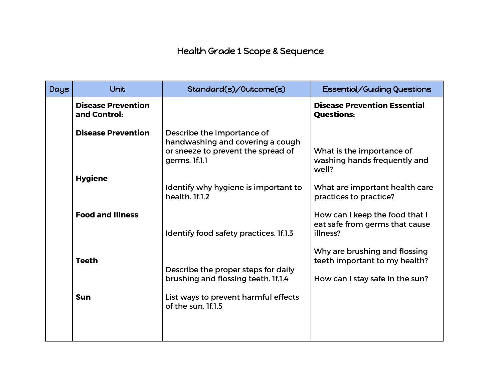## Health Grade 1 Scope & Sequence

| <b>Days</b> | Unit                                      | Standard(s)/Outcome(s)                                                                                                | <b>Essential/Guiding Questions</b>                                                                |
|-------------|-------------------------------------------|-----------------------------------------------------------------------------------------------------------------------|---------------------------------------------------------------------------------------------------|
|             | <b>Disease Prevention</b><br>and Control: |                                                                                                                       | <b>Disease Prevention Essential</b><br><b>Questions:</b>                                          |
|             | <b>Disease Prevention</b>                 | Describe the importance of<br>handwashing and covering a cough<br>or sneeze to prevent the spread of<br>germs. If.1.1 | What is the importance of<br>washing hands frequently and<br>well?                                |
|             | <b>Hygiene</b>                            | Identify why hygiene is important to<br>health. If.1.2                                                                | What are important health care<br>practices to practice?                                          |
|             | <b>Food and Illness</b>                   | Identify food safety practices. 1f.1.3                                                                                | How can I keep the food that I<br>eat safe from germs that cause<br>illness?                      |
|             | <b>Teeth</b>                              | Describe the proper steps for daily<br>brushing and flossing teeth. 1f.1.4                                            | Why are brushing and flossing<br>teeth important to my health?<br>How can I stay safe in the sun? |
|             | <b>Sun</b>                                | List ways to prevent harmful effects<br>of the sun. 1f.1.5                                                            |                                                                                                   |
|             |                                           |                                                                                                                       |                                                                                                   |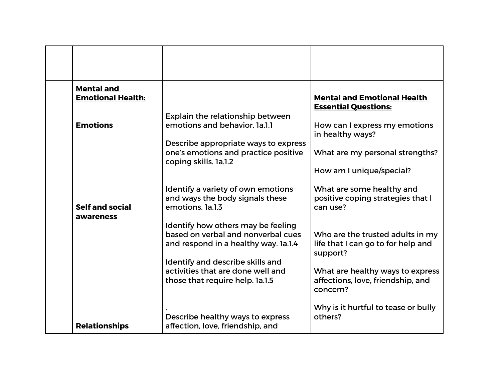| <b>Mental and</b><br><b>Emotional Health:</b> | Explain the relationship between                                                                                                                                                          | <b>Mental and Emotional Health</b><br><b>Essential Questions:</b>                                                      |
|-----------------------------------------------|-------------------------------------------------------------------------------------------------------------------------------------------------------------------------------------------|------------------------------------------------------------------------------------------------------------------------|
| <b>Emotions</b>                               | emotions and behavior. 1a.1.1<br>Describe appropriate ways to express<br>one's emotions and practice positive<br>coping skills. 1a.1.2                                                    | How can I express my emotions<br>in healthy ways?<br>What are my personal strengths?<br>How am I unique/special?       |
| <b>Self and social</b><br>awareness           | Identify a variety of own emotions<br>and ways the body signals these<br>emotions, 1a.1.3                                                                                                 | What are some healthy and<br>positive coping strategies that I<br>can use?                                             |
|                                               | Identify how others may be feeling<br>based on verbal and nonverbal cues<br>and respond in a healthy way. 1a.1.4<br>Identify and describe skills and<br>activities that are done well and | Who are the trusted adults in my<br>life that I can go to for help and<br>support?<br>What are healthy ways to express |
| <b>Relationships</b>                          | those that require help. 1a.1.5<br>Describe healthy ways to express<br>affection, love, friendship, and                                                                                   | affections, love, friendship, and<br>concern?<br>Why is it hurtful to tease or bully<br>others?                        |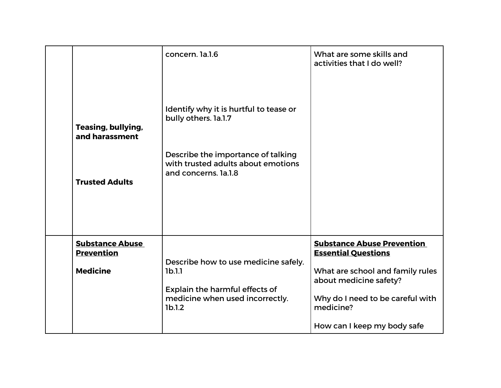| Teasing, bullying,<br>and harassment<br><b>Trusted Adults</b>  | concern. la.l.6<br>Identify why it is hurtful to tease or<br>bully others. 1a.1.7<br>Describe the importance of talking<br>with trusted adults about emotions<br>and concerns. Ia.1.8 | What are some skills and<br>activities that I do well?                                                                                                                                                        |
|----------------------------------------------------------------|---------------------------------------------------------------------------------------------------------------------------------------------------------------------------------------|---------------------------------------------------------------------------------------------------------------------------------------------------------------------------------------------------------------|
| <b>Substance Abuse</b><br><b>Prevention</b><br><b>Medicine</b> | Describe how to use medicine safely.<br>1b.1.1<br>Explain the harmful effects of<br>medicine when used incorrectly.<br>1b.1.2                                                         | <b>Substance Abuse Prevention</b><br><b>Essential Questions</b><br>What are school and family rules<br>about medicine safety?<br>Why do I need to be careful with<br>medicine?<br>How can I keep my body safe |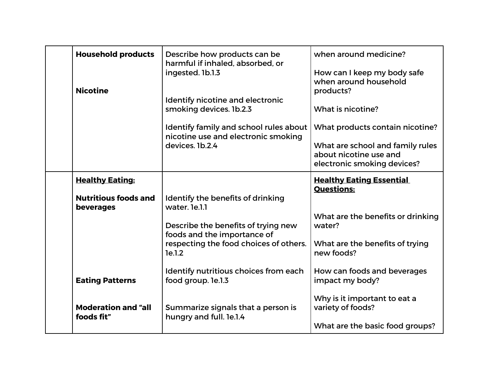| <b>Household products</b><br><b>Nicotine</b> | Describe how products can be<br>harmful if inhaled, absorbed, or<br>ingested. 1b.1.3                  | when around medicine?<br>How can I keep my body safe<br>when around household<br>products? |
|----------------------------------------------|-------------------------------------------------------------------------------------------------------|--------------------------------------------------------------------------------------------|
|                                              | Identify nicotine and electronic<br>smoking devices. 1b.2.3<br>Identify family and school rules about | What is nicotine?<br>What products contain nicotine?                                       |
|                                              | nicotine use and electronic smoking<br>devices. 1b.2.4                                                | What are school and family rules<br>about nicotine use and<br>electronic smoking devices?  |
| <b>Healthy Eating:</b>                       |                                                                                                       | <b>Healthy Eating Essential</b><br><b>Questions:</b>                                       |
| <b>Nutritious foods and</b><br>beverages     | Identify the benefits of drinking<br>water. le.l.l                                                    | What are the benefits or drinking                                                          |
|                                              | Describe the benefits of trying new<br>foods and the importance of                                    | water?                                                                                     |
|                                              | respecting the food choices of others.<br>le.1.2                                                      | What are the benefits of trying<br>new foods?                                              |
| <b>Eating Patterns</b>                       | Identify nutritious choices from each<br>food group. le.l.3                                           | How can foods and beverages<br>impact my body?                                             |
| <b>Moderation and "all</b><br>foods fit"     | Summarize signals that a person is<br>hungry and full. le.1.4                                         | Why is it important to eat a<br>variety of foods?<br>What are the basic food groups?       |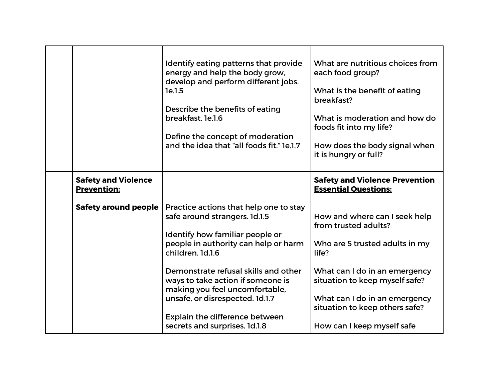|                                                  | Identify eating patterns that provide<br>energy and help the body grow,<br>develop and perform different jobs.<br>1e.1.5<br>Describe the benefits of eating<br>breakfast. 1e.1.6<br>Define the concept of moderation<br>and the idea that "all foods fit." le.1.7                                                                                                                           | What are nutritious choices from<br>each food group?<br>What is the benefit of eating<br>breakfast?<br>What is moderation and how do<br>foods fit into my life?<br>How does the body signal when<br>it is hungry or full?                                            |
|--------------------------------------------------|---------------------------------------------------------------------------------------------------------------------------------------------------------------------------------------------------------------------------------------------------------------------------------------------------------------------------------------------------------------------------------------------|----------------------------------------------------------------------------------------------------------------------------------------------------------------------------------------------------------------------------------------------------------------------|
| <b>Safety and Violence</b><br><b>Prevention:</b> |                                                                                                                                                                                                                                                                                                                                                                                             | <b>Safety and Violence Prevention</b><br><b>Essential Questions:</b>                                                                                                                                                                                                 |
| <b>Safety around people</b>                      | Practice actions that help one to stay<br>safe around strangers. 1d.1.5<br>Identify how familiar people or<br>people in authority can help or harm<br>children. 1d.1.6<br>Demonstrate refusal skills and other<br>ways to take action if someone is<br>making you feel uncomfortable,<br>unsafe, or disrespected. 1d.1.7<br>Explain the difference between<br>secrets and surprises. 1d.1.8 | How and where can I seek help<br>from trusted adults?<br>Who are 5 trusted adults in my<br>life?<br>What can I do in an emergency<br>situation to keep myself safe?<br>What can I do in an emergency<br>situation to keep others safe?<br>How can I keep myself safe |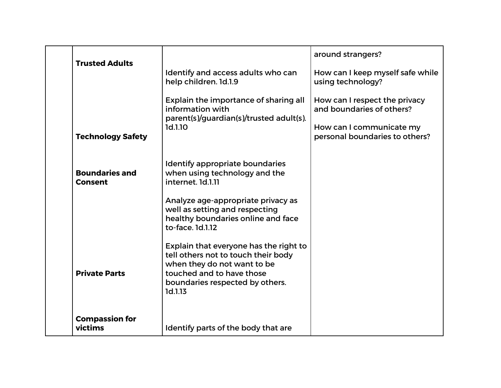| <b>Trusted Adults</b>                   | Identify and access adults who can<br>help children. 1d.1.9                                                                                                                                                             | around strangers?<br>How can I keep myself safe while<br>using technology?                                               |
|-----------------------------------------|-------------------------------------------------------------------------------------------------------------------------------------------------------------------------------------------------------------------------|--------------------------------------------------------------------------------------------------------------------------|
| <b>Technology Safety</b>                | Explain the importance of sharing all<br>information with<br>parent(s)/guardian(s)/trusted adult(s).<br>1d.1.10                                                                                                         | How can I respect the privacy<br>and boundaries of others?<br>How can I communicate my<br>personal boundaries to others? |
| <b>Boundaries and</b><br><b>Consent</b> | Identify appropriate boundaries<br>when using technology and the<br>internet. 1d.1.11<br>Analyze age-appropriate privacy as<br>well as setting and respecting<br>healthy boundaries online and face<br>to-face. 1d.1.12 |                                                                                                                          |
| <b>Private Parts</b>                    | Explain that everyone has the right to<br>tell others not to touch their body<br>when they do not want to be<br>touched and to have those<br>boundaries respected by others.<br>1d.1.13                                 |                                                                                                                          |
| <b>Compassion for</b><br>victims        | Identify parts of the body that are                                                                                                                                                                                     |                                                                                                                          |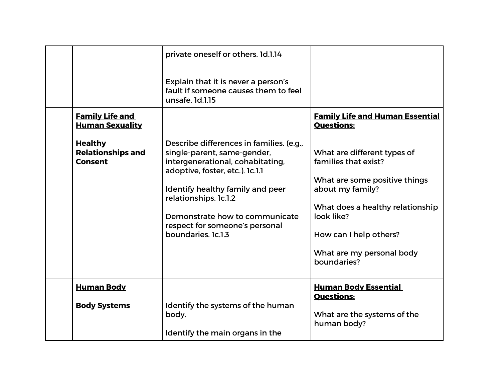| <b>Family Life and</b><br><b>Human Sexuality</b>             | private oneself or others. 1d.1.14<br>Explain that it is never a person's<br>fault if someone causes them to feel<br>unsafe, 1d.1.15                                                                                                                                                                  | <b>Family Life and Human Essential</b><br><b>Questions:</b>                                                                                                                                                                      |
|--------------------------------------------------------------|-------------------------------------------------------------------------------------------------------------------------------------------------------------------------------------------------------------------------------------------------------------------------------------------------------|----------------------------------------------------------------------------------------------------------------------------------------------------------------------------------------------------------------------------------|
| <b>Healthy</b><br><b>Relationships and</b><br><b>Consent</b> | Describe differences in families. (e.g.,<br>single-parent, same-gender,<br>intergenerational, cohabitating,<br>adoptive, foster, etc.). 1c.1.1<br>Identify healthy family and peer<br>relationships. 1c.1.2<br>Demonstrate how to communicate<br>respect for someone's personal<br>boundaries. 1c.1.3 | What are different types of<br>families that exist?<br>What are some positive things<br>about my family?<br>What does a healthy relationship<br>look like?<br>How can I help others?<br>What are my personal body<br>boundaries? |
| <b>Human Body</b><br><b>Body Systems</b>                     | Identify the systems of the human<br>body.<br>Identify the main organs in the                                                                                                                                                                                                                         | <b>Human Body Essential</b><br><b>Questions:</b><br>What are the systems of the<br>human body?                                                                                                                                   |